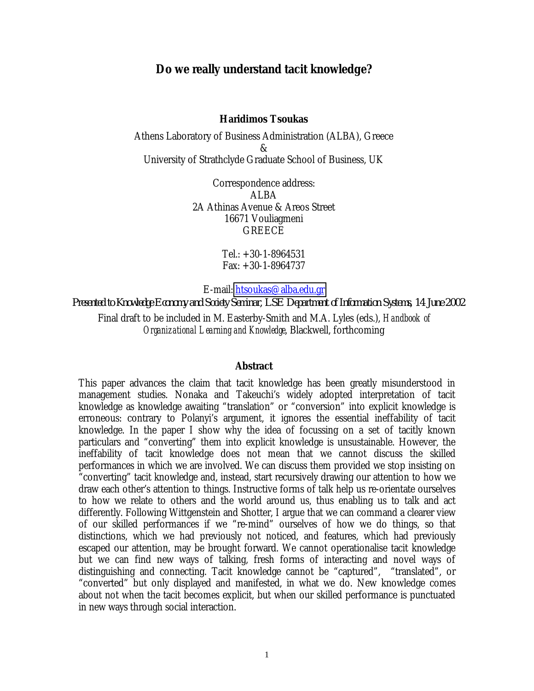# **Do we really understand tacit knowledge?**

**Haridimos Tsoukas** 

Athens Laboratory of Business Administration (ALBA), Greece  $\mathcal{R}_{I}$ University of Strathclyde Graduate School of Business, UK

> Correspondence address: ALBA 2A Athinas Avenue & Areos Street 16671 Vouliagmeni **GREECE**

> > Tel.: +30-1-8964531 Fax: +30-1-8964737

E-mail: [htsoukas@alba.edu.gr](mailto:htsoukas@alba.edu.gr)

*Presented to Knowledge Economy and Society Seminar, LSE Department of Information Systems, 14 June 2002* 

Final draft to be included in M. Easterby-Smith and M.A. Lyles (eds.), *Handbook of Organizational Learning and Knowledge*, Blackwell, forthcoming

#### **Abstract**

This paper advances the claim that tacit knowledge has been greatly misunderstood in management studies. Nonaka and Takeuchi's widely adopted interpretation of tacit knowledge as knowledge awaiting "translation" or "conversion" into explicit knowledge is erroneous: contrary to Polanyi's argument, it ignores the essential ineffability of tacit knowledge. In the paper I show why the idea of focussing on a set of tacitly known particulars and "converting" them into explicit knowledge is unsustainable. However, the ineffability of tacit knowledge does not mean that we cannot discuss the skilled performances in which we are involved. We can discuss them provided we stop insisting on "converting" tacit knowledge and, instead, start recursively drawing our attention to how we draw each other's attention to things. Instructive forms of talk help us re-orientate ourselves to how we relate to others and the world around us, thus enabling us to talk and act differently. Following Wittgenstein and Shotter, I argue that we can command a clearer view of our skilled performances if we "re-mind" ourselves of how we do things, so that distinctions, which we had previously not noticed, and features, which had previously escaped our attention, may be brought forward. We cannot operationalise tacit knowledge but we can find new ways of talking, fresh forms of interacting and novel ways of distinguishing and connecting. Tacit knowledge cannot be "captured", "translated", or "converted" but only displayed and manifested, in what we do. New knowledge comes about not when the tacit becomes explicit, but when our skilled performance is punctuated in new ways through social interaction.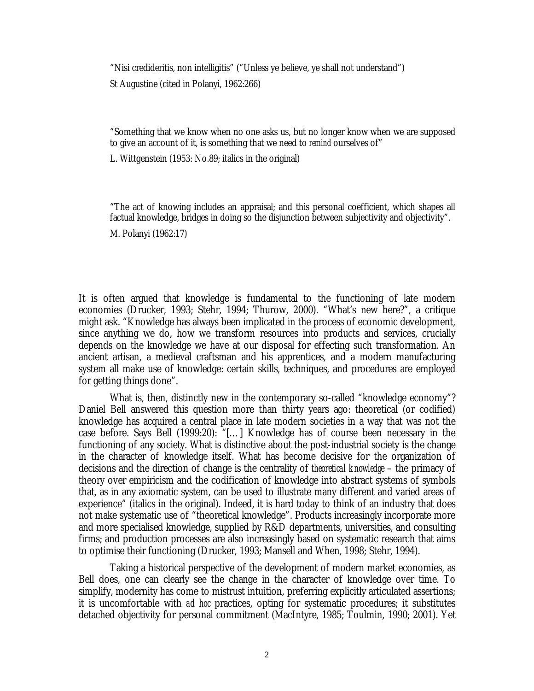"Nisi credideritis, non intelligitis" ("Unless ye believe, ye shall not understand") St Augustine (cited in Polanyi, 1962:266)

"Something that we know when no one asks us, but no longer know when we are supposed to give an account of it, is something that we need to *remind* ourselves of"

L. Wittgenstein (1953: No.89; italics in the original)

"The act of knowing includes an appraisal; and this personal coefficient, which shapes all factual knowledge, bridges in doing so the disjunction between subjectivity and objectivity". M. Polanyi (1962:17)

It is often argued that knowledge is fundamental to the functioning of late modern economies (Drucker, 1993; Stehr, 1994; Thurow, 2000). "What's new here?", a critique might ask. "Knowledge has always been implicated in the process of economic development, since anything we do, how we transform resources into products and services, crucially depends on the knowledge we have at our disposal for effecting such transformation. An ancient artisan, a medieval craftsman and his apprentices, and a modern manufacturing system all make use of knowledge: certain skills, techniques, and procedures are employed for getting things done".

What is, then, distinctly new in the contemporary so-called "knowledge economy"? Daniel Bell answered this question more than thirty years ago: theoretical (or codified) knowledge has acquired a central place in late modern societies in a way that was not the case before. Says Bell (1999:20): "[…] Knowledge has of course been necessary in the functioning of any society. What is distinctive about the post-industrial society is the change in the character of knowledge itself. What has become decisive for the organization of decisions and the direction of change is the centrality of *theoretical knowledge* – the primacy of theory over empiricism and the codification of knowledge into abstract systems of symbols that, as in any axiomatic system, can be used to illustrate many different and varied areas of experience" (italics in the original). Indeed, it is hard today to think of an industry that does not make systematic use of "theoretical knowledge". Products increasingly incorporate more and more specialised knowledge, supplied by R&D departments, universities, and consulting firms; and production processes are also increasingly based on systematic research that aims to optimise their functioning (Drucker, 1993; Mansell and When, 1998; Stehr, 1994).

Taking a historical perspective of the development of modern market economies, as Bell does, one can clearly see the change in the character of knowledge over time. To simplify, modernity has come to mistrust intuition, preferring explicitly articulated assertions; it is uncomfortable with *ad hoc* practices, opting for systematic procedures; it substitutes detached objectivity for personal commitment (MacIntyre, 1985; Toulmin, 1990; 2001). Yet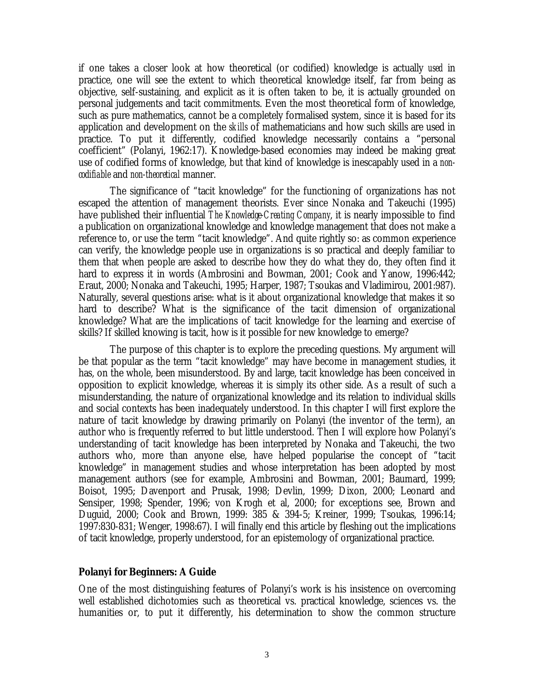if one takes a closer look at how theoretical (or codified) knowledge is actually *used* in practice, one will see the extent to which theoretical knowledge itself, far from being as objective, self-sustaining, and explicit as it is often taken to be, it is actually grounded on personal judgements and tacit commitments. Even the most theoretical form of knowledge, such as pure mathematics, cannot be a completely formalised system, since it is based for its application and development on the *skills* of mathematicians and how such skills are used in practice. To put it differently, codified knowledge necessarily contains a "personal coefficient" (Polanyi, 1962:17). Knowledge-based economies may indeed be making great use of codified forms of knowledge, but that kind of knowledge is inescapably used in a *noncodifiable* and *non-theoretical* manner.

The significance of "tacit knowledge" for the functioning of organizations has not escaped the attention of management theorists. Ever since Nonaka and Takeuchi (1995) have published their influential *The Knowledge-Creating Company*, it is nearly impossible to find a publication on organizational knowledge and knowledge management that does not make a reference to, or use the term "tacit knowledge". And quite rightly so: as common experience can verify, the knowledge people use in organizations is so practical and deeply familiar to them that when people are asked to describe how they do what they do, they often find it hard to express it in words (Ambrosini and Bowman, 2001; Cook and Yanow, 1996:442; Eraut, 2000; Nonaka and Takeuchi, 1995; Harper, 1987; Tsoukas and Vladimirou, 2001:987). Naturally, several questions arise: what is it about organizational knowledge that makes it so hard to describe? What is the significance of the tacit dimension of organizational knowledge? What are the implications of tacit knowledge for the learning and exercise of skills? If skilled knowing is tacit, how is it possible for new knowledge to emerge?

The purpose of this chapter is to explore the preceding questions. My argument will be that popular as the term "tacit knowledge" may have become in management studies, it has, on the whole, been misunderstood. By and large, tacit knowledge has been conceived in opposition to explicit knowledge, whereas it is simply its other side. As a result of such a misunderstanding, the nature of organizational knowledge and its relation to individual skills and social contexts has been inadequately understood. In this chapter I will first explore the nature of tacit knowledge by drawing primarily on Polanyi (the inventor of the term), an author who is frequently referred to but little understood. Then I will explore how Polanyi's understanding of tacit knowledge has been interpreted by Nonaka and Takeuchi, the two authors who, more than anyone else, have helped popularise the concept of "tacit knowledge" in management studies and whose interpretation has been adopted by most management authors (see for example, Ambrosini and Bowman, 2001; Baumard, 1999; Boisot, 1995; Davenport and Prusak, 1998; Devlin, 1999; Dixon, 2000; Leonard and Sensiper, 1998; Spender, 1996; von Krogh et al, 2000; for exceptions see, Brown and Duguid, 2000; Cook and Brown, 1999: 385 & 394-5; Kreiner, 1999; Tsoukas, 1996:14; 1997:830-831; Wenger, 1998:67). I will finally end this article by fleshing out the implications of tacit knowledge, properly understood, for an epistemology of organizational practice.

### **Polanyi for Beginners: A Guide**

One of the most distinguishing features of Polanyi's work is his insistence on overcoming well established dichotomies such as theoretical vs. practical knowledge, sciences vs. the humanities or, to put it differently, his determination to show the common structure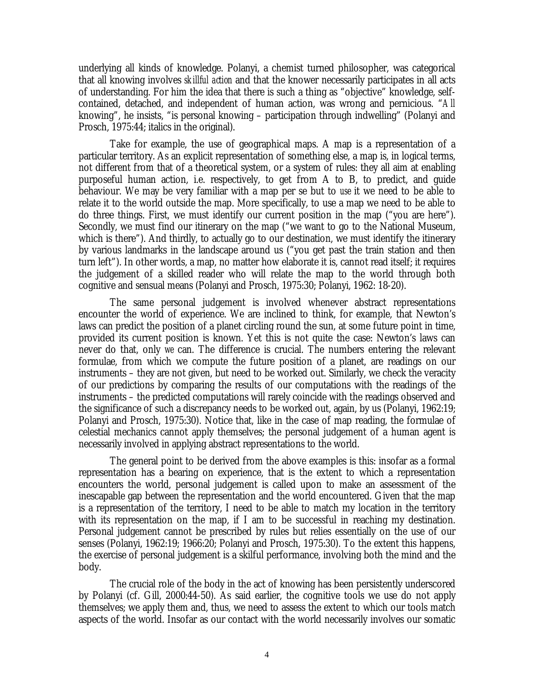underlying all kinds of knowledge. Polanyi, a chemist turned philosopher, was categorical that all knowing involves *skillful action* and that the knower necessarily participates in all acts of understanding. For him the idea that there is such a thing as "objective" knowledge, selfcontained, detached, and independent of human action, was wrong and pernicious. "*All* knowing", he insists, "is personal knowing – participation through indwelling" (Polanyi and Prosch, 1975:44; italics in the original).

Take for example, the use of geographical maps. A map is a representation of a particular territory. As an explicit representation of something else, a map is, in logical terms, not different from that of a theoretical system, or a system of rules: they all aim at enabling purposeful human action, i.e. respectively, to get from A to B, to predict, and guide behaviour. We may be very familiar with a map per se but to *use* it we need to be able to relate it to the world outside the map. More specifically, to use a map we need to be able to do three things. First, we must identify our current position in the map ("you are here"). Secondly, we must find our itinerary on the map ("we want to go to the National Museum, which is there"). And thirdly, to actually go to our destination, we must identify the itinerary by various landmarks in the landscape around us ("you get past the train station and then turn left"). In other words, a map, no matter how elaborate it is, cannot read itself; it requires the judgement of a skilled reader who will relate the map to the world through both cognitive and sensual means (Polanyi and Prosch, 1975:30; Polanyi, 1962: 18-20).

The same personal judgement is involved whenever abstract representations encounter the world of experience. We are inclined to think, for example, that Newton's laws can predict the position of a planet circling round the sun, at some future point in time, provided its current position is known. Yet this is not quite the case: Newton's laws can never do that, only *we* can. The difference is crucial. The numbers entering the relevant formulae, from which we compute the future position of a planet, are readings on our instruments – they are not given, but need to be worked out. Similarly, we check the veracity of our predictions by comparing the results of our computations with the readings of the instruments – the predicted computations will rarely coincide with the readings observed and the significance of such a discrepancy needs to be worked out, again, by us (Polanyi, 1962:19; Polanyi and Prosch, 1975:30). Notice that, like in the case of map reading, the formulae of celestial mechanics cannot apply themselves; the personal judgement of a human agent is necessarily involved in applying abstract representations to the world.

The general point to be derived from the above examples is this: insofar as a formal representation has a bearing on experience, that is the extent to which a representation encounters the world, personal judgement is called upon to make an assessment of the inescapable gap between the representation and the world encountered. Given that the map is a representation of the territory, I need to be able to match my location in the territory with its representation on the map, if I am to be successful in reaching my destination. Personal judgement cannot be prescribed by rules but relies essentially on the use of our senses (Polanyi, 1962:19; 1966:20; Polanyi and Prosch, 1975:30). To the extent this happens, the exercise of personal judgement is a skilful performance, involving both the mind and the body.

The crucial role of the body in the act of knowing has been persistently underscored by Polanyi (cf. Gill, 2000:44-50). As said earlier, the cognitive tools we use do not apply themselves; we apply them and, thus, we need to assess the extent to which our tools match aspects of the world. Insofar as our contact with the world necessarily involves our somatic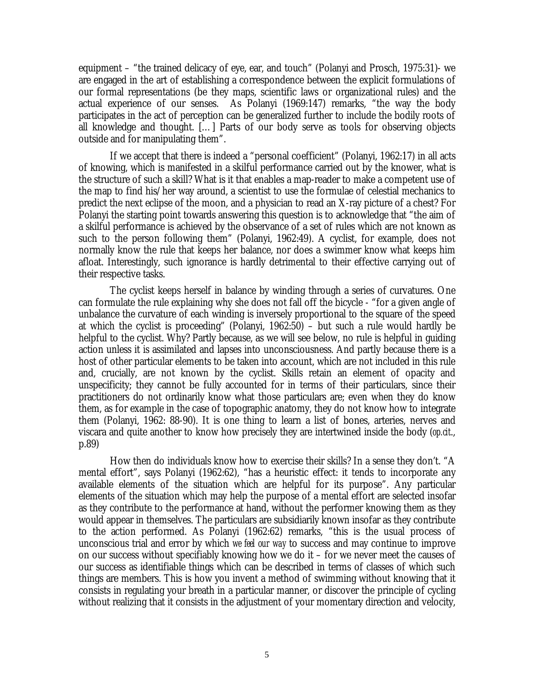equipment – "the trained delicacy of eye, ear, and touch" (Polanyi and Prosch, 1975:31)- we are engaged in the art of establishing a correspondence between the explicit formulations of our formal representations (be they maps, scientific laws or organizational rules) and the actual experience of our senses. As Polanyi (1969:147) remarks, "the way the body participates in the act of perception can be generalized further to include the bodily roots of all knowledge and thought. […] Parts of our body serve as tools for observing objects outside and for manipulating them".

If we accept that there is indeed a "personal coefficient" (Polanyi, 1962:17) in all acts of knowing, which is manifested in a skilful performance carried out by the knower, what is the structure of such a skill? What is it that enables a map-reader to make a competent use of the map to find his/her way around, a scientist to use the formulae of celestial mechanics to predict the next eclipse of the moon, and a physician to read an X-ray picture of a chest? For Polanyi the starting point towards answering this question is to acknowledge that "the aim of a skilful performance is achieved by the observance of a set of rules which are not known as such to the person following them" (Polanyi, 1962:49). A cyclist, for example, does not normally know the rule that keeps her balance, nor does a swimmer know what keeps him afloat. Interestingly, such ignorance is hardly detrimental to their effective carrying out of their respective tasks.

The cyclist keeps herself in balance by winding through a series of curvatures. One can formulate the rule explaining why she does not fall off the bicycle - "for a given angle of unbalance the curvature of each winding is inversely proportional to the square of the speed at which the cyclist is proceeding" (Polanyi, 1962:50) – but such a rule would hardly be helpful to the cyclist. Why? Partly because, as we will see below, no rule is helpful in guiding action unless it is assimilated and lapses into unconsciousness. And partly because there is a host of other particular elements to be taken into account, which are not included in this rule and, crucially, are not known by the cyclist. Skills retain an element of opacity and unspecificity; they cannot be fully accounted for in terms of their particulars, since their practitioners do not ordinarily know what those particulars are; even when they do know them, as for example in the case of topographic anatomy, they do not know how to integrate them (Polanyi, 1962: 88-90). It is one thing to learn a list of bones, arteries, nerves and viscara and quite another to know how precisely they are intertwined inside the body (*op.cit*., p.89)

How then do individuals know how to exercise their skills? In a sense they don't. "A mental effort", says Polanyi (1962:62), "has a heuristic effect: it tends to incorporate any available elements of the situation which are helpful for its purpose". Any particular elements of the situation which may help the purpose of a mental effort are selected insofar as they contribute to the performance at hand, without the performer knowing them as they would appear in themselves. The particulars are subsidiarily known insofar as they contribute to the action performed. As Polanyi (1962:62) remarks, "this is the usual process of unconscious trial and error by which *we feel our way* to success and may continue to improve on our success without specifiably knowing how we do it – for we never meet the causes of our success as identifiable things which can be described in terms of classes of which such things are members. This is how you invent a method of swimming without knowing that it consists in regulating your breath in a particular manner, or discover the principle of cycling without realizing that it consists in the adjustment of your momentary direction and velocity,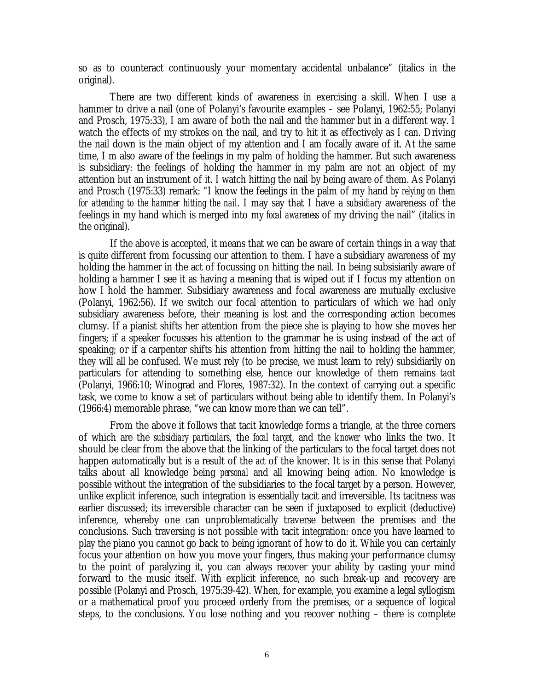so as to counteract continuously your momentary accidental unbalance" (italics in the original).

There are two different kinds of awareness in exercising a skill. When I use a hammer to drive a nail (one of Polanyi's favourite examples – see Polanyi, 1962:55; Polanyi and Prosch, 1975:33), I am aware of both the nail and the hammer but in a different way. I watch the effects of my strokes on the nail, and try to hit it as effectively as I can. Driving the nail down is the main object of my attention and I am focally aware of it. At the same time, I m also aware of the feelings in my palm of holding the hammer. But such awareness is subsidiary: the feelings of holding the hammer in my palm are not an object of my attention but an instrument of it. I watch hitting the nail by being aware of them. As Polanyi and Prosch (1975:33) remark: "I know the feelings in the palm of my hand *by relying on them for attending to the hammer hitting the nail*. I may say that I have a *subsidiary* awareness of the feelings in my hand which is merged into my *focal awareness* of my driving the nail" (italics in the original).

If the above is accepted, it means that we can be aware of certain things in a way that is quite different from focussing our attention to them. I have a subsidiary awareness of my holding the hammer in the act of focussing on hitting the nail. In being subsisiarily aware of holding a hammer I see it as having a meaning that is wiped out if I focus my attention on how I hold the hammer. Subsidiary awareness and focal awareness are mutually exclusive (Polanyi, 1962:56). If we switch our focal attention to particulars of which we had only subsidiary awareness before, their meaning is lost and the corresponding action becomes clumsy. If a pianist shifts her attention from the piece she is playing to how she moves her fingers; if a speaker focusses his attention to the grammar he is using instead of the act of speaking; or if a carpenter shifts his attention from hitting the nail to holding the hammer, they will all be confused. We must rely (to be precise, we must learn to rely) subsidiarily on particulars for attending to something else, hence our knowledge of them remains *tacit* (Polanyi, 1966:10; Winograd and Flores, 1987:32). In the context of carrying out a specific task, we come to know a set of particulars without being able to identify them. In Polanyi's (1966:4) memorable phrase, "we can know more than we can tell".

From the above it follows that tacit knowledge forms a triangle, at the three corners of which are the *subsidiary particulars*, the *focal target*, and the *knower* who links the two. It should be clear from the above that the linking of the particulars to the focal target does not happen automatically but is a result of the *act* of the knower. It is in this sense that Polanyi talks about all knowledge being *personal* and all knowing being *action*. No knowledge is possible without the integration of the subsidiaries to the focal target by a person. However, unlike explicit inference, such integration is essentially tacit and irreversible. Its tacitness was earlier discussed; its irreversible character can be seen if juxtaposed to explicit (deductive) inference, whereby one can unproblematically traverse between the premises and the conclusions. Such traversing is not possible with tacit integration: once you have learned to play the piano you cannot go back to being ignorant of how to do it. While you can certainly focus your attention on how you move your fingers, thus making your performance clumsy to the point of paralyzing it, you can always recover your ability by casting your mind forward to the music itself. With explicit inference, no such break-up and recovery are possible (Polanyi and Prosch, 1975:39-42). When, for example, you examine a legal syllogism or a mathematical proof you proceed orderly from the premises, or a sequence of logical steps, to the conclusions. You lose nothing and you recover nothing – there is complete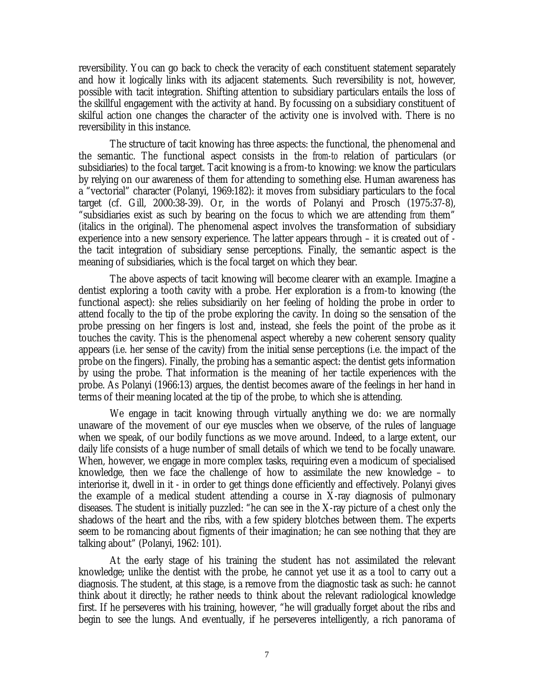reversibility. You can go back to check the veracity of each constituent statement separately and how it logically links with its adjacent statements. Such reversibility is not, however, possible with tacit integration. Shifting attention to subsidiary particulars entails the loss of the skillful engagement with the activity at hand. By focussing on a subsidiary constituent of skilful action one changes the character of the activity one is involved with. There is no reversibility in this instance.

The structure of tacit knowing has three aspects: the functional, the phenomenal and the semantic. The functional aspect consists in the *from-to* relation of particulars (or subsidiaries) to the focal target. Tacit knowing is a from-to knowing: we know the particulars by relying on our awareness of them for attending to something else. Human awareness has a "vectorial" character (Polanyi, 1969:182): it moves from subsidiary particulars to the focal target (cf. Gill, 2000:38-39). Or, in the words of Polanyi and Prosch (1975:37-8), "subsidiaries exist as such by bearing on the focus *to* which we are attending *from* them" (italics in the original). The phenomenal aspect involves the transformation of subsidiary experience into a new sensory experience. The latter appears through – it is created out of the tacit integration of subsidiary sense perceptions. Finally, the semantic aspect is the meaning of subsidiaries, which is the focal target on which they bear.

The above aspects of tacit knowing will become clearer with an example. Imagine a dentist exploring a tooth cavity with a probe. Her exploration is a from-to knowing (the functional aspect): she relies subsidiarily on her feeling of holding the probe in order to attend focally to the tip of the probe exploring the cavity. In doing so the sensation of the probe pressing on her fingers is lost and, instead, she feels the point of the probe as it touches the cavity. This is the phenomenal aspect whereby a new coherent sensory quality appears (i.e. her sense of the cavity) from the initial sense perceptions (i.e. the impact of the probe on the fingers). Finally, the probing has a semantic aspect: the dentist gets information by using the probe. That information is the meaning of her tactile experiences with the probe. As Polanyi (1966:13) argues, the dentist becomes aware of the feelings in her hand in terms of their meaning located at the tip of the probe, to which she is attending.

We engage in tacit knowing through virtually anything we do: we are normally unaware of the movement of our eye muscles when we observe, of the rules of language when we speak, of our bodily functions as we move around. Indeed, to a large extent, our daily life consists of a huge number of small details of which we tend to be focally unaware. When, however, we engage in more complex tasks, requiring even a modicum of specialised knowledge, then we face the challenge of how to assimilate the new knowledge – to interiorise it, dwell in it - in order to get things done efficiently and effectively. Polanyi gives the example of a medical student attending a course in  $\overline{X}$ -ray diagnosis of pulmonary diseases. The student is initially puzzled: "he can see in the X-ray picture of a chest only the shadows of the heart and the ribs, with a few spidery blotches between them. The experts seem to be romancing about figments of their imagination; he can see nothing that they are talking about" (Polanyi, 1962: 101).

At the early stage of his training the student has not assimilated the relevant knowledge; unlike the dentist with the probe, he cannot yet use it as a tool to carry out a diagnosis. The student, at this stage, is a remove from the diagnostic task as such: he cannot think about it directly; he rather needs to think about the relevant radiological knowledge first. If he perseveres with his training, however, "he will gradually forget about the ribs and begin to see the lungs. And eventually, if he perseveres intelligently, a rich panorama of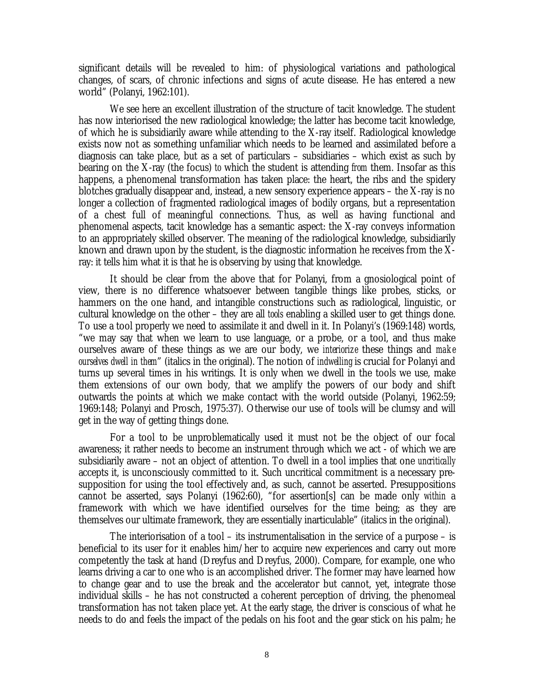significant details will be revealed to him: of physiological variations and pathological changes, of scars, of chronic infections and signs of acute disease. He has entered a new world" (Polanyi, 1962:101).

We see here an excellent illustration of the structure of tacit knowledge. The student has now interiorised the new radiological knowledge; the latter has become tacit knowledge, of which he is subsidiarily aware while attending to the X-ray itself. Radiological knowledge exists now not as something unfamiliar which needs to be learned and assimilated before a diagnosis can take place, but as a set of particulars – subsidiaries – which exist as such by bearing on the X-ray (the focus) *to* which the student is attending *from* them. Insofar as this happens, a phenomenal transformation has taken place: the heart, the ribs and the spidery blotches gradually disappear and, instead, a new sensory experience appears – the X-ray is no longer a collection of fragmented radiological images of bodily organs, but a representation of a chest full of meaningful connections. Thus, as well as having functional and phenomenal aspects, tacit knowledge has a semantic aspect: the X-ray conveys information to an appropriately skilled observer. The meaning of the radiological knowledge, subsidiarily known and drawn upon by the student, is the diagnostic information he receives from the Xray: it tells him what it is that he is observing by using that knowledge.

It should be clear from the above that for Polanyi, from a gnosiological point of view, there is no difference whatsoever between tangible things like probes, sticks, or hammers on the one hand, and intangible constructions such as radiological, linguistic, or cultural knowledge on the other – they are all *tools* enabling a skilled user to get things done. To use a tool properly we need to assimilate it and dwell in it. In Polanyi's (1969:148) words, "we may say that when we learn to use language, or a probe, or a tool, and thus make ourselves aware of these things as we are our body, we *interiorize* these things and *make ourselves dwell in them*" (italics in the original). The notion of *indwelling* is crucial for Polanyi and turns up several times in his writings. It is only when we dwell in the tools we use, make them extensions of our own body, that we amplify the powers of our body and shift outwards the points at which we make contact with the world outside (Polanyi, 1962:59; 1969:148; Polanyi and Prosch, 1975:37). Otherwise our use of tools will be clumsy and will get in the way of getting things done.

For a tool to be unproblematically used it must not be the object of our focal awareness; it rather needs to become an instrument through which we act - of which we are subsidiarily aware – not an object of attention. To dwell in a tool implies that one *uncritically* accepts it, is unconsciously committed to it. Such uncritical commitment is a necessary presupposition for using the tool effectively and, as such, cannot be asserted. Presuppositions cannot be asserted, says Polanyi (1962:60), "for assertion[s] can be made only *within* a framework with which we have identified ourselves for the time being; as they are themselves our ultimate framework, they are essentially inarticulable" (italics in the original).

The interiorisation of a tool – its instrumentalisation in the service of a purpose – is beneficial to its user for it enables him/her to acquire new experiences and carry out more competently the task at hand (Dreyfus and Dreyfus, 2000). Compare, for example, one who learns driving a car to one who is an accomplished driver. The former may have learned how to change gear and to use the break and the accelerator but cannot, yet, integrate those individual skills – he has not constructed a coherent perception of driving, the phenomeal transformation has not taken place yet. At the early stage, the driver is conscious of what he needs to do and feels the impact of the pedals on his foot and the gear stick on his palm; he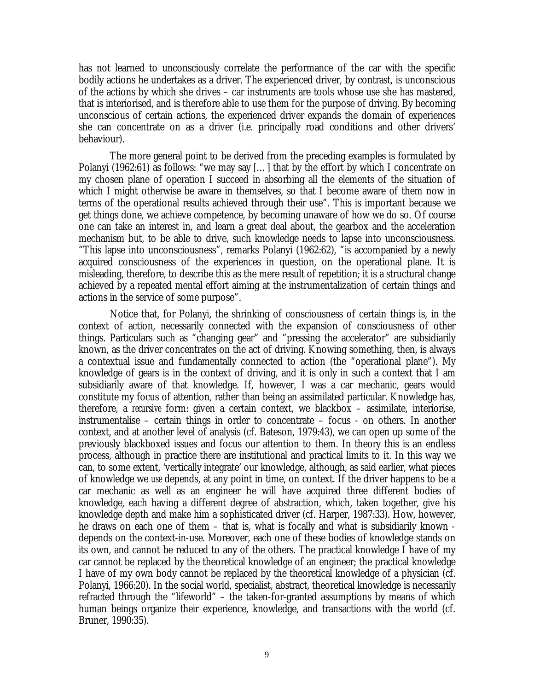has not learned to unconsciously correlate the performance of the car with the specific bodily actions he undertakes as a driver. The experienced driver, by contrast, is unconscious of the actions by which she drives – car instruments are tools whose use she has mastered, that is interiorised, and is therefore able to use them for the purpose of driving. By becoming unconscious of certain actions, the experienced driver expands the domain of experiences she can concentrate on as a driver (i.e. principally road conditions and other drivers' behaviour).

The more general point to be derived from the preceding examples is formulated by Polanyi (1962:61) as follows: "we may say […] that by the effort by which I concentrate on my chosen plane of operation I succeed in absorbing all the elements of the situation of which I might otherwise be aware in themselves, so that I become aware of them now in terms of the operational results achieved through their use". This is important because we get things done, we achieve competence, by becoming unaware of how we do so. Of course one can take an interest in, and learn a great deal about, the gearbox and the acceleration mechanism but, to be able to drive, such knowledge needs to lapse into unconsciousness. "This lapse into unconsciousness", remarks Polanyi (1962:62), "is accompanied by a newly acquired consciousness of the experiences in question, on the operational plane. It is misleading, therefore, to describe this as the mere result of repetition; it is a structural change achieved by a repeated mental effort aiming at the instrumentalization of certain things and actions in the service of some purpose".

Notice that, for Polanyi, the shrinking of consciousness of certain things is, in the context of action, necessarily connected with the expansion of consciousness of other things. Particulars such as "changing gear" and "pressing the accelerator" are subsidiarily known, as the driver concentrates on the act of driving. Knowing something, then, is always a contextual issue and fundamentally connected to action (the "operational plane"). My knowledge of gears is in the context of driving, and it is only in such a context that I am subsidiarily aware of that knowledge. If, however, I was a car mechanic, gears would constitute my focus of attention, rather than being an assimilated particular. Knowledge has, therefore, a *recursive* form: given a certain context, we blackbox – assimilate, interiorise, instrumentalise – certain things in order to concentrate – focus - on others. In another context, and at another level of analysis (cf. Bateson, 1979:43), we can open up some of the previously blackboxed issues and focus our attention to them. In theory this is an endless process, although in practice there are institutional and practical limits to it. In this way we can, to some extent, 'vertically integrate' our knowledge, although, as said earlier, what pieces of knowledge we *use* depends, at any point in time, on context. If the driver happens to be a car mechanic as well as an engineer he will have acquired three different bodies of knowledge, each having a different degree of abstraction, which, taken together, give his knowledge depth and make him a sophisticated driver (cf. Harper, 1987:33). How, however, he draws on each one of them – that is, what is focally and what is subsidiarily known depends on the context-in-use. Moreover, each one of these bodies of knowledge stands on its own, and cannot be reduced to any of the others. The practical knowledge I have of my car cannot be replaced by the theoretical knowledge of an engineer; the practical knowledge I have of my own body cannot be replaced by the theoretical knowledge of a physician (cf. Polanyi, 1966:20). In the social world, specialist, abstract, theoretical knowledge is necessarily refracted through the "lifeworld" – the taken-for-granted assumptions by means of which human beings organize their experience, knowledge, and transactions with the world (cf. Bruner, 1990:35).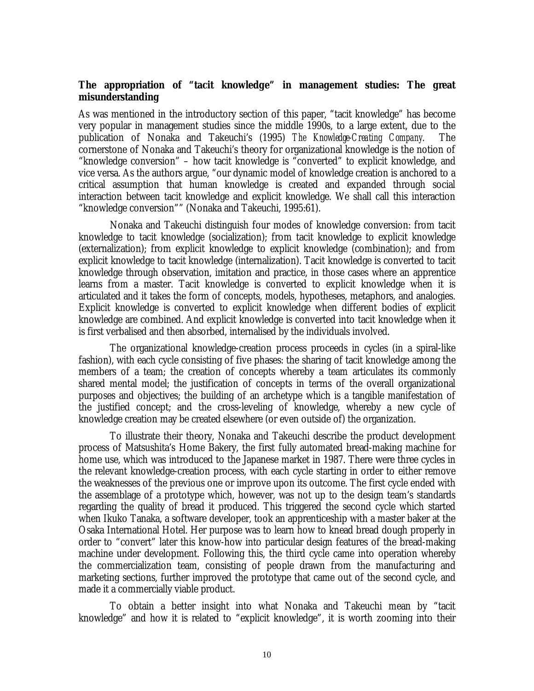### **The appropriation of "tacit knowledge" in management studies: The great misunderstanding**

As was mentioned in the introductory section of this paper, "tacit knowledge" has become very popular in management studies since the middle 1990s, to a large extent, due to the publication of Nonaka and Takeuchi's (1995) *The Knowledge-Creating Company*. The cornerstone of Nonaka and Takeuchi's theory for organizational knowledge is the notion of "knowledge conversion" – how tacit knowledge is "converted" to explicit knowledge, and vice versa. As the authors argue, "our dynamic model of knowledge creation is anchored to a critical assumption that human knowledge is created and expanded through social interaction between tacit knowledge and explicit knowledge. We shall call this interaction "knowledge conversion"" (Nonaka and Takeuchi, 1995:61).

Nonaka and Takeuchi distinguish four modes of knowledge conversion: from tacit knowledge to tacit knowledge (socialization); from tacit knowledge to explicit knowledge (externalization); from explicit knowledge to explicit knowledge (combination); and from explicit knowledge to tacit knowledge (internalization). Tacit knowledge is converted to tacit knowledge through observation, imitation and practice, in those cases where an apprentice learns from a master. Tacit knowledge is converted to explicit knowledge when it is articulated and it takes the form of concepts, models, hypotheses, metaphors, and analogies. Explicit knowledge is converted to explicit knowledge when different bodies of explicit knowledge are combined. And explicit knowledge is converted into tacit knowledge when it is first verbalised and then absorbed, internalised by the individuals involved.

The organizational knowledge-creation process proceeds in cycles (in a spiral-like fashion), with each cycle consisting of five phases: the sharing of tacit knowledge among the members of a team; the creation of concepts whereby a team articulates its commonly shared mental model; the justification of concepts in terms of the overall organizational purposes and objectives; the building of an archetype which is a tangible manifestation of the justified concept; and the cross-leveling of knowledge, whereby a new cycle of knowledge creation may be created elsewhere (or even outside of) the organization.

To illustrate their theory, Nonaka and Takeuchi describe the product development process of Matsushita's Home Bakery, the first fully automated bread-making machine for home use, which was introduced to the Japanese market in 1987. There were three cycles in the relevant knowledge-creation process, with each cycle starting in order to either remove the weaknesses of the previous one or improve upon its outcome. The first cycle ended with the assemblage of a prototype which, however, was not up to the design team's standards regarding the quality of bread it produced. This triggered the second cycle which started when Ikuko Tanaka, a software developer, took an apprenticeship with a master baker at the Osaka International Hotel. Her purpose was to learn how to knead bread dough properly in order to "convert" later this know-how into particular design features of the bread-making machine under development. Following this, the third cycle came into operation whereby the commercialization team, consisting of people drawn from the manufacturing and marketing sections, further improved the prototype that came out of the second cycle, and made it a commercially viable product.

To obtain a better insight into what Nonaka and Takeuchi mean by "tacit knowledge" and how it is related to "explicit knowledge", it is worth zooming into their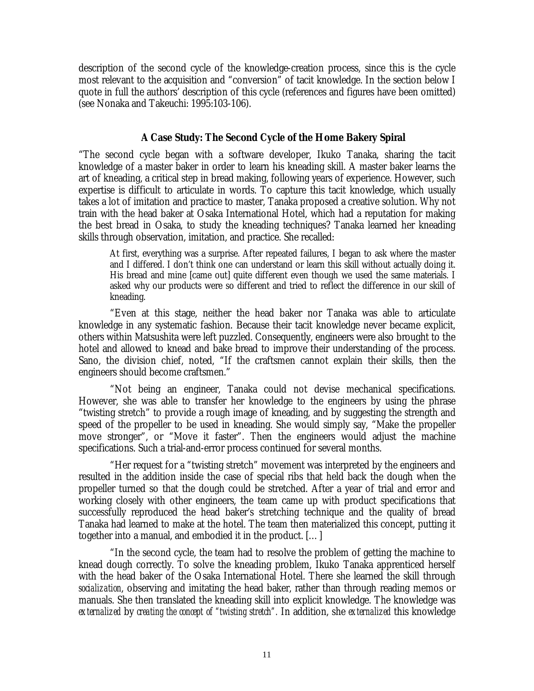description of the second cycle of the knowledge-creation process, since this is the cycle most relevant to the acquisition and "conversion" of tacit knowledge. In the section below I quote in full the authors' description of this cycle (references and figures have been omitted) (see Nonaka and Takeuchi: 1995:103-106).

### **A Case Study: The Second Cycle of the Home Bakery Spiral**

"The second cycle began with a software developer, Ikuko Tanaka, sharing the tacit knowledge of a master baker in order to learn his kneading skill. A master baker learns the art of kneading, a critical step in bread making, following years of experience. However, such expertise is difficult to articulate in words. To capture this tacit knowledge, which usually takes a lot of imitation and practice to master, Tanaka proposed a creative solution. Why not train with the head baker at Osaka International Hotel, which had a reputation for making the best bread in Osaka, to study the kneading techniques? Tanaka learned her kneading skills through observation, imitation, and practice. She recalled:

At first, everything was a surprise. After repeated failures, I began to ask where the master and I differed. I don't think one can understand or learn this skill without actually doing it. His bread and mine [came out] quite different even though we used the same materials. I asked why our products were so different and tried to reflect the difference in our skill of kneading.

"Even at this stage, neither the head baker nor Tanaka was able to articulate knowledge in any systematic fashion. Because their tacit knowledge never became explicit, others within Matsushita were left puzzled. Consequently, engineers were also brought to the hotel and allowed to knead and bake bread to improve their understanding of the process. Sano, the division chief, noted, "If the craftsmen cannot explain their skills, then the engineers should become craftsmen."

"Not being an engineer, Tanaka could not devise mechanical specifications. However, she was able to transfer her knowledge to the engineers by using the phrase "twisting stretch" to provide a rough image of kneading, and by suggesting the strength and speed of the propeller to be used in kneading. She would simply say, "Make the propeller move stronger", or "Move it faster". Then the engineers would adjust the machine specifications. Such a trial-and-error process continued for several months.

"Her request for a "twisting stretch" movement was interpreted by the engineers and resulted in the addition inside the case of special ribs that held back the dough when the propeller turned so that the dough could be stretched. After a year of trial and error and working closely with other engineers, the team came up with product specifications that successfully reproduced the head baker's stretching technique and the quality of bread Tanaka had learned to make at the hotel. The team then materialized this concept, putting it together into a manual, and embodied it in the product. […]

"In the second cycle, the team had to resolve the problem of getting the machine to knead dough correctly. To solve the kneading problem, Ikuko Tanaka apprenticed herself with the head baker of the Osaka International Hotel. There she learned the skill through *socialization*, observing and imitating the head baker, rather than through reading memos or manuals. She then translated the kneading skill into explicit knowledge. The knowledge was *externalized* by *creating the concept of "twisting stretch".* In addition, she *externalized* this knowledge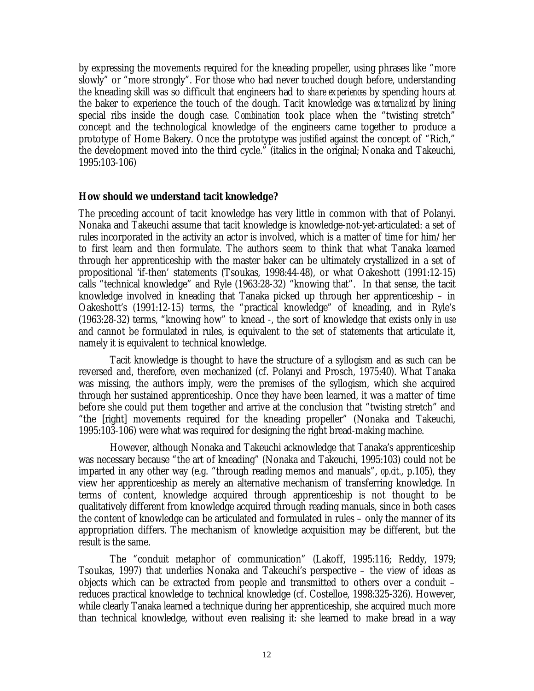by expressing the movements required for the kneading propeller, using phrases like "more slowly" or "more strongly". For those who had never touched dough before, understanding the kneading skill was so difficult that engineers had to *share experiences* by spending hours at the baker to experience the touch of the dough. Tacit knowledge was *externalized* by lining special ribs inside the dough case. *Combination* took place when the "twisting stretch" concept and the technological knowledge of the engineers came together to produce a prototype of Home Bakery. Once the prototype was *justified* against the concept of "Rich," the development moved into the third cycle." (italics in the original; Nonaka and Takeuchi, 1995:103-106)

### **How should we understand tacit knowledge?**

The preceding account of tacit knowledge has very little in common with that of Polanyi. Nonaka and Takeuchi assume that tacit knowledge is knowledge-not-yet-articulated: a set of rules incorporated in the activity an actor is involved, which is a matter of time for him/her to first learn and then formulate. The authors seem to think that what Tanaka learned through her apprenticeship with the master baker can be ultimately crystallized in a set of propositional 'if-then' statements (Tsoukas, 1998:44-48), or what Oakeshott (1991:12-15) calls "technical knowledge" and Ryle (1963:28-32) "knowing that". In that sense, the tacit knowledge involved in kneading that Tanaka picked up through her apprenticeship – in Oakeshott's (1991:12-15) terms, the "practical knowledge" of kneading, and in Ryle's (1963:28-32) terms, "knowing how" to knead -, the sort of knowledge that exists only *in use* and cannot be formulated in rules, is equivalent to the set of statements that articulate it, namely it is equivalent to technical knowledge.

Tacit knowledge is thought to have the structure of a syllogism and as such can be reversed and, therefore, even mechanized (cf. Polanyi and Prosch, 1975:40). What Tanaka was missing, the authors imply, were the premises of the syllogism, which she acquired through her sustained apprenticeship. Once they have been learned, it was a matter of time before she could put them together and arrive at the conclusion that "twisting stretch" and "the [right] movements required for the kneading propeller" (Nonaka and Takeuchi, 1995:103-106) were what was required for designing the right bread-making machine.

However, although Nonaka and Takeuchi acknowledge that Tanaka's apprenticeship was necessary because "the art of kneading" (Nonaka and Takeuchi, 1995:103) could not be imparted in any other way (e.g. "through reading memos and manuals", *op.cit*., p.105), they view her apprenticeship as merely an alternative mechanism of transferring knowledge. In terms of content, knowledge acquired through apprenticeship is not thought to be qualitatively different from knowledge acquired through reading manuals, since in both cases the content of knowledge can be articulated and formulated in rules – only the manner of its appropriation differs. The mechanism of knowledge acquisition may be different, but the result is the same.

The "conduit metaphor of communication" (Lakoff, 1995:116; Reddy, 1979; Tsoukas, 1997) that underlies Nonaka and Takeuchi's perspective – the view of ideas as objects which can be extracted from people and transmitted to others over a conduit – reduces practical knowledge to technical knowledge (cf. Costelloe, 1998:325-326). However, while clearly Tanaka learned a technique during her apprenticeship, she acquired much more than technical knowledge, without even realising it: she learned to make bread in a way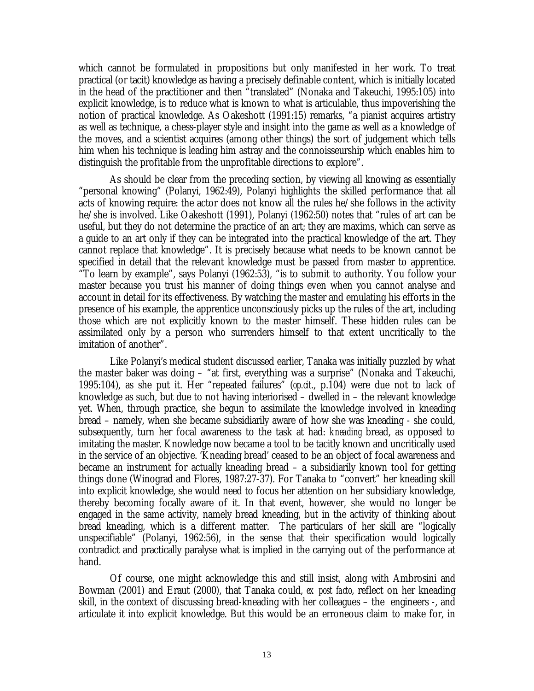which cannot be formulated in propositions but only manifested in her work. To treat practical (or tacit) knowledge as having a precisely definable content, which is initially located in the head of the practitioner and then "translated" (Nonaka and Takeuchi, 1995:105) into explicit knowledge, is to reduce what is known to what is articulable, thus impoverishing the notion of practical knowledge. As Oakeshott (1991:15) remarks, "a pianist acquires artistry as well as technique, a chess-player style and insight into the game as well as a knowledge of the moves, and a scientist acquires (among other things) the sort of judgement which tells him when his technique is leading him astray and the connoisseurship which enables him to distinguish the profitable from the unprofitable directions to explore".

As should be clear from the preceding section, by viewing all knowing as essentially "personal knowing" (Polanyi, 1962:49), Polanyi highlights the skilled performance that all acts of knowing require: the actor does not know all the rules he/she follows in the activity he/she is involved. Like Oakeshott (1991), Polanyi (1962:50) notes that "rules of art can be useful, but they do not determine the practice of an art; they are maxims, which can serve as a guide to an art only if they can be integrated into the practical knowledge of the art. They cannot replace that knowledge". It is precisely because what needs to be known cannot be specified in detail that the relevant knowledge must be passed from master to apprentice. "To learn by example", says Polanyi (1962:53), "is to submit to authority. You follow your master because you trust his manner of doing things even when you cannot analyse and account in detail for its effectiveness. By watching the master and emulating his efforts in the presence of his example, the apprentice unconsciously picks up the rules of the art, including those which are not explicitly known to the master himself. These hidden rules can be assimilated only by a person who surrenders himself to that extent uncritically to the imitation of another".

Like Polanyi's medical student discussed earlier, Tanaka was initially puzzled by what the master baker was doing – "at first, everything was a surprise" (Nonaka and Takeuchi, 1995:104), as she put it. Her "repeated failures" (*op.cit*., p.104) were due not to lack of knowledge as such, but due to not having interiorised – dwelled in – the relevant knowledge yet. When, through practice, she begun to assimilate the knowledge involved in kneading bread – namely, when she became subsidiarily aware of how she was kneading - she could, subsequently, turn her focal awareness to the task at had: *kneading* bread, as opposed to imitating the master. Knowledge now became a tool to be tacitly known and uncritically used in the service of an objective. 'Kneading bread' ceased to be an object of focal awareness and became an instrument for actually kneading bread – a subsidiarily known tool for getting things done (Winograd and Flores, 1987:27-37). For Tanaka to "convert" her kneading skill into explicit knowledge, she would need to focus her attention on her subsidiary knowledge, thereby becoming focally aware of it. In that event, however, she would no longer be engaged in the same activity, namely bread kneading, but in the activity of thinking about bread kneading, which is a different matter. The particulars of her skill are "logically unspecifiable" (Polanyi, 1962:56), in the sense that their specification would logically contradict and practically paralyse what is implied in the carrying out of the performance at hand.

Of course, one might acknowledge this and still insist, along with Ambrosini and Bowman (2001) and Eraut (2000), that Tanaka could, *ex post facto*, reflect on her kneading skill, in the context of discussing bread-kneading with her colleagues – the engineers -, and articulate it into explicit knowledge. But this would be an erroneous claim to make for, in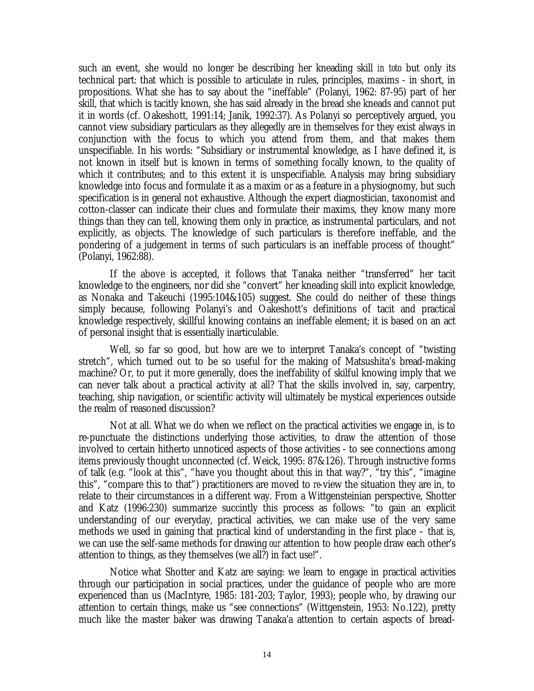such an event, she would no longer be describing her kneading skill *in toto* but only its technical part: that which is possible to articulate in rules, principles, maxims - in short, in propositions. What she has to say about the "ineffable" (Polanyi, 1962: 87-95) part of her skill, that which is tacitly known, she has said already in the bread she kneads and cannot put it in words (cf. Oakeshott, 1991:14; Janik, 1992:37). As Polanyi so perceptively argued, you cannot view subsidiary particulars as they allegedly are in themselves for they exist always in conjunction with the focus to which you attend from them, and that makes them unspecifiable. In his words: "Subsidiary or instrumental knowledge, as I have defined it, is not known in itself but is known in terms of something focally known, to the quality of which it contributes; and to this extent it is unspecifiable. Analysis may bring subsidiary knowledge into focus and formulate it as a maxim or as a feature in a physiognomy, but such specification is in general not exhaustive. Although the expert diagnostician, taxonomist and cotton-classer can indicate their clues and formulate their maxims, they know many more things than they can tell, knowing them only in practice, as instrumental particulars, and not explicitly, as objects. The knowledge of such particulars is therefore ineffable, and the pondering of a judgement in terms of such particulars is an ineffable process of thought" (Polanyi, 1962:88).

If the above is accepted, it follows that Tanaka neither "transferred" her tacit knowledge to the engineers, nor did she "convert" her kneading skill into explicit knowledge, as Nonaka and Takeuchi (1995:104&105) suggest. She could do neither of these things simply because, following Polanyi's and Oakeshott's definitions of tacit and practical knowledge respectively, skillful knowing contains an ineffable element; it is based on an act of personal insight that is essentially inarticulable.

Well, so far so good, but how are we to interpret Tanaka's concept of "twisting stretch", which turned out to be so useful for the making of Matsushita's bread-making machine? Or, to put it more generally, does the ineffability of skilful knowing imply that we can never talk about a practical activity at all? That the skills involved in, say, carpentry, teaching, ship navigation, or scientific activity will ultimately be mystical experiences outside the realm of reasoned discussion?

Not at all. What we do when we reflect on the practical activities we engage in, is to re-punctuate the distinctions underlying those activities, to draw the attention of those involved to certain hitherto unnoticed aspects of those activities - to see connections among items previously thought unconnected (cf. Weick, 1995: 87&126). Through instructive forms of talk (e.g. "look at this", "have you thought about this in that way?", "try this", "imagine this", "compare this to that") practitioners are moved to *re*-view the situation they are in, to relate to their circumstances in a different way. From a Wittgensteinian perspective, Shotter and Katz (1996:230) summarize succintly this process as follows: "to gain an explicit understanding of our everyday, practical activities, we can make use of the very same methods we used in gaining that practical kind of understanding in the first place – that is, we can use the self-same methods for drawing *our* attention to how people draw each other's attention to things, as they themselves (we all?) in fact use!".

Notice what Shotter and Katz are saying: we learn to engage in practical activities through our participation in social practices, under the guidance of people who are more experienced than us (MacIntyre, 1985: 181-203; Taylor, 1993); people who, by drawing our attention to certain things, make us "see connections" (Wittgenstein, 1953: No.122), pretty much like the master baker was drawing Tanaka'a attention to certain aspects of bread-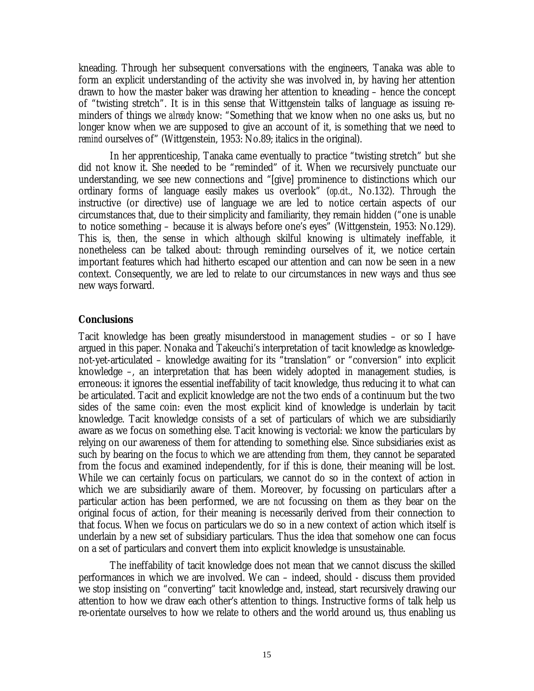kneading. Through her subsequent conversations with the engineers, Tanaka was able to form an explicit understanding of the activity she was involved in, by having her attention drawn to how the master baker was drawing her attention to kneading – hence the concept of "twisting stretch". It is in this sense that Wittgenstein talks of language as issuing reminders of things we *already* know: "Something that we know when no one asks us, but no longer know when we are supposed to give an account of it, is something that we need to *remind* ourselves of" (Wittgenstein, 1953: No.89; italics in the original).

In her apprenticeship, Tanaka came eventually to practice "twisting stretch" but she did not know it. She needed to be "reminded" of it. When we recursively punctuate our understanding, we see new connections and "[give] prominence to distinctions which our ordinary forms of language easily makes us overlook" (*op.cit*., No.132). Through the instructive (or directive) use of language we are led to notice certain aspects of our circumstances that, due to their simplicity and familiarity, they remain hidden ("one is unable to notice something – because it is always before one's eyes" (Wittgenstein, 1953: No.129). This is, then, the sense in which although skilful knowing is ultimately ineffable, it nonetheless can be talked about: through reminding ourselves of it, we notice certain important features which had hitherto escaped our attention and can now be seen in a new context. Consequently, we are led to relate to our circumstances in new ways and thus see new ways forward.

# **Conclusions**

Tacit knowledge has been greatly misunderstood in management studies – or so I have argued in this paper. Nonaka and Takeuchi's interpretation of tacit knowledge as knowledgenot-yet-articulated – knowledge awaiting for its "translation" or "conversion" into explicit knowledge –, an interpretation that has been widely adopted in management studies, is erroneous: it ignores the essential ineffability of tacit knowledge, thus reducing it to what can be articulated. Tacit and explicit knowledge are not the two ends of a continuum but the two sides of the same coin: even the most explicit kind of knowledge is underlain by tacit knowledge. Tacit knowledge consists of a set of particulars of which we are subsidiarily aware as we focus on something else. Tacit knowing is vectorial: we know the particulars by relying on our awareness of them for attending to something else. Since subsidiaries exist as such by bearing on the focus *to* which we are attending *from* them, they cannot be separated from the focus and examined independently, for if this is done, their meaning will be lost. While we can certainly focus on particulars, we cannot do so in the context of action in which we are subsidiarily aware of them. Moreover, by focussing on particulars after a particular action has been performed, we are *not* focussing on them as they bear on the original focus of action, for their meaning is necessarily derived from their connection to that focus. When we focus on particulars we do so in a new context of action which itself is underlain by a new set of subsidiary particulars. Thus the idea that somehow one can focus on a set of particulars and convert them into explicit knowledge is unsustainable.

 The ineffability of tacit knowledge does not mean that we cannot discuss the skilled performances in which we are involved. We can – indeed, should - discuss them provided we stop insisting on "converting" tacit knowledge and, instead, start recursively drawing our attention to how we draw each other's attention to things. Instructive forms of talk help us re-orientate ourselves to how we relate to others and the world around us, thus enabling us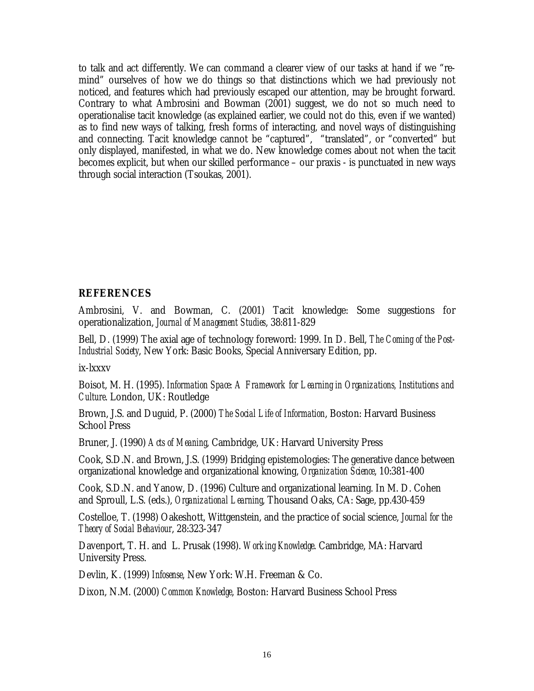to talk and act differently. We can command a clearer view of our tasks at hand if we "remind" ourselves of how we do things so that distinctions which we had previously not noticed, and features which had previously escaped our attention, may be brought forward. Contrary to what Ambrosini and Bowman (2001) suggest, we do not so much need to operationalise tacit knowledge (as explained earlier, we could not do this, even if we wanted) as to find new ways of talking, fresh forms of interacting, and novel ways of distinguishing and connecting. Tacit knowledge cannot be "captured", "translated", or "converted" but only displayed, manifested, in what we do. New knowledge comes about not when the tacit becomes explicit, but when our skilled performance – our praxis - is punctuated in new ways through social interaction (Tsoukas, 2001).

# **REFERENCES**

Ambrosini, V. and Bowman, C. (2001) Tacit knowledge: Some suggestions for operationalization, *Journal of Management Studies*, 38:811-829

Bell, D. (1999) The axial age of technology foreword: 1999. In D. Bell, *The Coming of the Post-Industrial Society*, New York: Basic Books, Special Anniversary Edition, pp.

ix-lxxxv

Boisot, M. H. (1995). *Information Space: A Framework for Learning in Organizations, Institutions and Culture*. London, UK: Routledge

Brown, J.S. and Duguid, P. (2000) *The Social Life of Information*, Boston: Harvard Business School Press

Bruner, J. (1990) *Acts of Meaning*, Cambridge, UK: Harvard University Press

Cook, S.D.N. and Brown, J.S. (1999) Bridging epistemologies: The generative dance between organizational knowledge and organizational knowing, *Organization Science*, 10:381-400

Cook, S.D.N. and Yanow, D. (1996) Culture and organizational learning. In M. D. Cohen and Sproull, L.S. (eds.), *Organizational Learning*, Thousand Oaks, CA: Sage, pp.430-459

Costelloe, T. (1998) Oakeshott, Wittgenstein, and the practice of social science, *Journal for the Theory of Social Behaviour*, 28:323-347

Davenport, T. H. and L. Prusak (1998). *Working Knowledge*. Cambridge, MA: Harvard University Press.

Devlin, K. (1999) *Infosense*, New York: W.H. Freeman & Co.

Dixon, N.M. (2000) *Common Knowledge*, Boston: Harvard Business School Press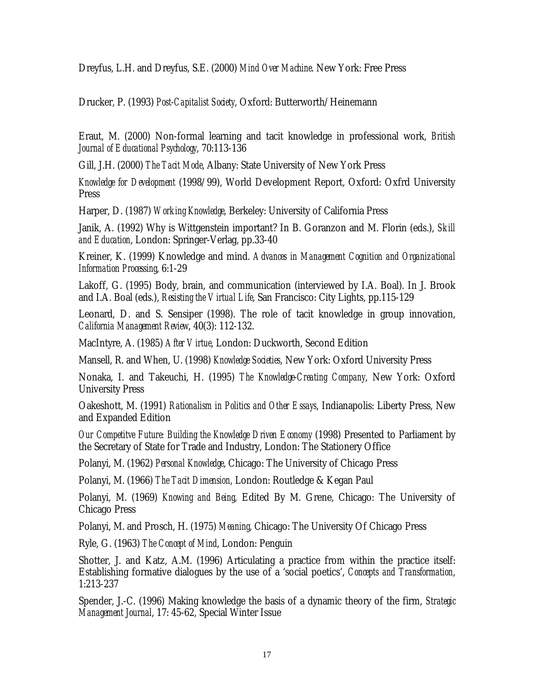Dreyfus, L.H. and Dreyfus, S.E. (2000) *Mind Over Machine*. New York: Free Press

Drucker, P. (1993) *Post-Capitalist Society*, Oxford: Butterworth/Heinemann

Eraut, M. (2000) Non-formal learning and tacit knowledge in professional work, *British Journal of Educational Psychology*, 70:113-136

Gill, J.H. (2000) *The Tacit Mode*, Albany: State University of New York Press

*Knowledge for Development* (1998/99), World Development Report, Oxford: Oxfrd University Press

Harper, D. (1987) *Working Knowledge*, Berkeley: University of California Press

Janik, A. (1992) Why is Wittgenstein important? In B. Goranzon and M. Florin (eds.), *Skill and Education*, London: Springer-Verlag, pp.33-40

Kreiner, K. (1999) Knowledge and mind. *Advances in Management Cognition and Organizational Information Processing*, 6:1-29

Lakoff, G. (1995) Body, brain, and communication (interviewed by I.A. Boal). In J. Brook and I.A. Boal (eds.), *Resisting the Virtual Life*, San Francisco: City Lights, pp.115-129

Leonard, D. and S. Sensiper (1998). The role of tacit knowledge in group innovation, *California Management Review*, 40(3): 112-132.

MacIntyre, A. (1985) *After Virtue*, London: Duckworth, Second Edition

Mansell, R. and When, U. (1998) *Knowledge Societies*, New York: Oxford University Press

Nonaka, I. and Takeuchi, H. (1995) *The Knowledge-Creating Company*, New York: Oxford University Press

Oakeshott, M. (1991) *Rationalism in Politics and Other Essays*, Indianapolis: Liberty Press, New and Expanded Edition

*Our Competitve Future: Building the Knowledge Driven Economy* (1998) Presented to Parliament by the Secretary of State for Trade and Industry, London: The Stationery Office

Polanyi, M. (1962) *Personal Knowledge*, Chicago: The University of Chicago Press

Polanyi, M. (1966) *The Tacit Dimension*, London: Routledge & Kegan Paul

Polanyi, M. (1969) *Knowing and Being*, Edited By M. Grene, Chicago: The University of Chicago Press

Polanyi, M. and Prosch, H. (1975) *Meaning*, Chicago: The University Of Chicago Press

Ryle, G. (1963) *The Concept of Mind*, London: Penguin

Shotter, J. and Katz, A.M. (1996) Articulating a practice from within the practice itself: Establishing formative dialogues by the use of a 'social poetics', *Concepts and Transformation*, 1:213-237

Spender, J.-C. (1996) Making knowledge the basis of a dynamic theory of the firm, *Strategic Management Journal*, 17: 45-62, Special Winter Issue